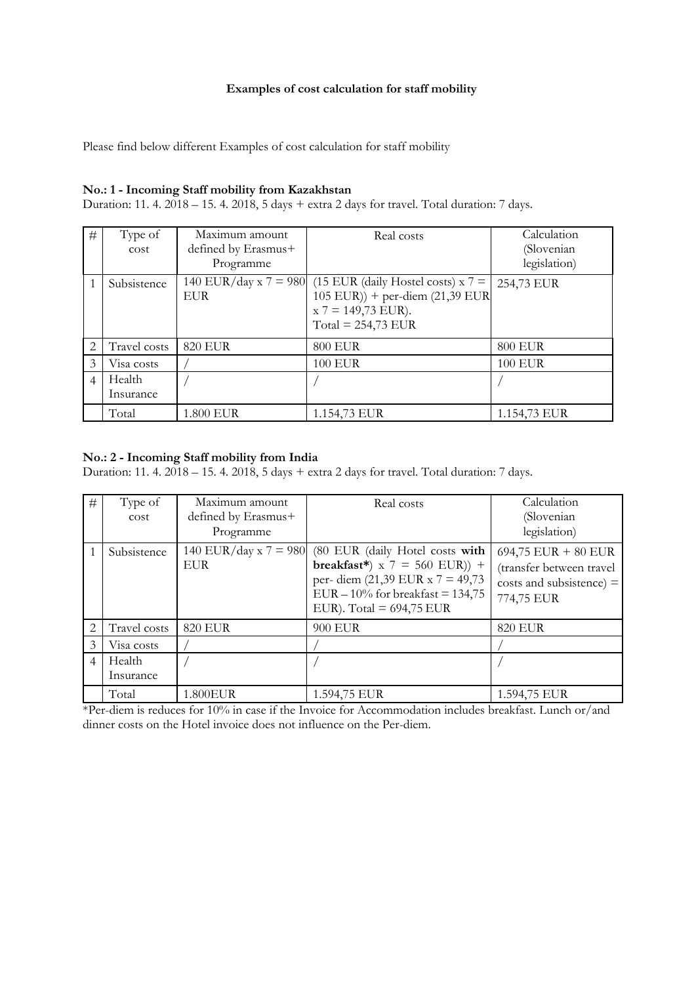# **Examples of cost calculation for staff mobility**

Please find below different Examples of cost calculation for staff mobility

# **No.: 1 - Incoming Staff mobility from Kazakhstan**

Duration: 11. 4. 2018 – 15. 4. 2018, 5 days + extra 2 days for travel. Total duration: 7 days.

| #              | Type of<br>cost     | Maximum amount<br>defined by Erasmus+<br>Programme | Real costs                                                                                                                | Calculation<br>(Slovenian<br>legislation) |
|----------------|---------------------|----------------------------------------------------|---------------------------------------------------------------------------------------------------------------------------|-------------------------------------------|
|                | Subsistence         | 140 EUR/day x $7 = 980$<br><b>EUR</b>              | $(15$ EUR (daily Hostel costs) x 7 =<br>$105$ EUR)) + per-diem (21,39 EUR<br>$x 7 = 149,73$ EUR).<br>Total = $254,73$ EUR | 254,73 EUR                                |
| $\overline{2}$ | Travel costs        | <b>820 EUR</b>                                     | <b>800 EUR</b>                                                                                                            | <b>800 EUR</b>                            |
| 3              | Visa costs          |                                                    | <b>100 EUR</b>                                                                                                            | <b>100 EUR</b>                            |
| $\overline{4}$ | Health<br>Insurance |                                                    |                                                                                                                           |                                           |
|                | Total               | 1.800 EUR                                          | 1.154,73 EUR                                                                                                              | 1.154,73 EUR                              |

#### **No.: 2 - Incoming Staff mobility from India**

Duration: 11. 4. 2018 – 15. 4. 2018, 5 days + extra 2 days for travel. Total duration: 7 days.

| $\#$           | Type of<br>cost     | Maximum amount<br>defined by Erasmus+<br>Programme | Real costs                                                                                                                                                                                         | Calculation<br>(Slovenian<br>legislation)                                                     |
|----------------|---------------------|----------------------------------------------------|----------------------------------------------------------------------------------------------------------------------------------------------------------------------------------------------------|-----------------------------------------------------------------------------------------------|
|                | Subsistence         | <b>EUR</b>                                         | 140 EUR/day x 7 = 980 (80 EUR (daily Hotel costs with<br>breakfast*) $x$ 7 = 560 EUR)) +<br>per- diem $(21,39$ EUR x 7 = 49,73<br>EUR $-10\%$ for breakfast = 134,75<br>EUR). Total = $694,75$ EUR | $694,75$ EUR + 80 EUR<br>(transfer between travel<br>costs and subsistence) $=$<br>774,75 EUR |
| $\mathcal{L}$  | Travel costs        | 820 EUR                                            | 900 EUR                                                                                                                                                                                            | <b>820 EUR</b>                                                                                |
| 3              | Visa costs          |                                                    |                                                                                                                                                                                                    |                                                                                               |
| $\overline{4}$ | Health<br>Insurance |                                                    |                                                                                                                                                                                                    |                                                                                               |
|                | Total               | 1.800EUR                                           | 1.594,75 EUR                                                                                                                                                                                       | 1.594,75 EUR                                                                                  |

\*Per-diem is reduces for 10% in case if the Invoice for Accommodation includes breakfast. Lunch or/and dinner costs on the Hotel invoice does not influence on the Per-diem.